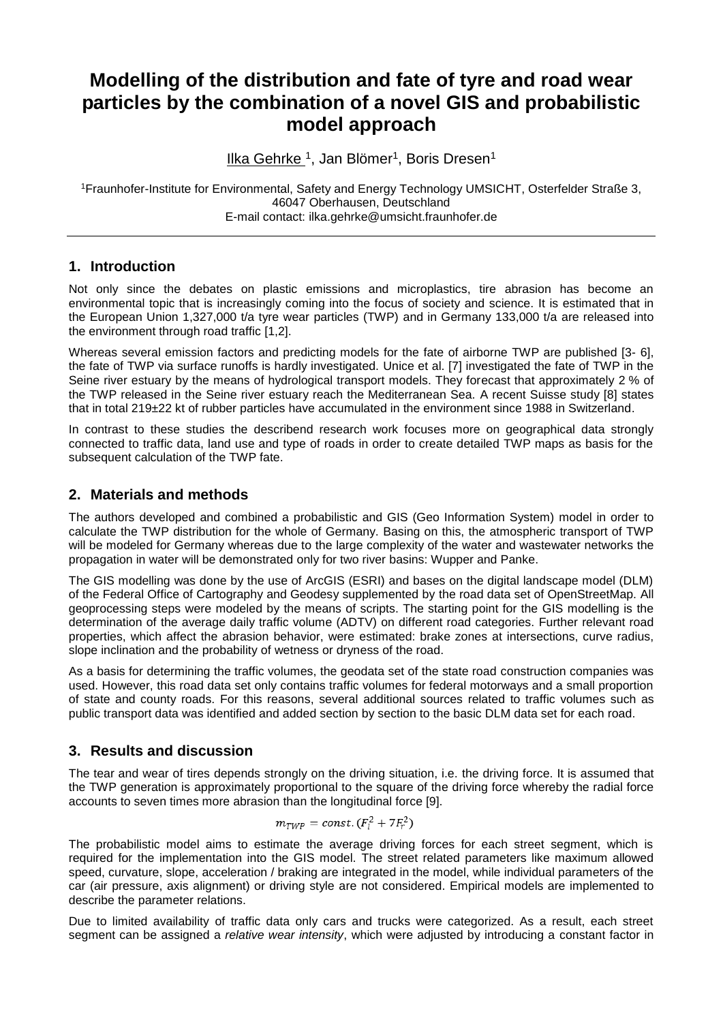# **Modelling of the distribution and fate of tyre and road wear particles by the combination of a novel GIS and probabilistic model approach**

Ilka Gehrke <sup>1</sup>, Jan Blömer<sup>1</sup>, Boris Dresen<sup>1</sup>

<sup>1</sup>Fraunhofer-Institute for Environmental, Safety and Energy Technology UMSICHT, Osterfelder Straße 3, 46047 Oberhausen, Deutschland E-mail contact: ilka.gehrke@umsicht.fraunhofer.de

### **1. Introduction**

Not only since the debates on plastic emissions and microplastics, tire abrasion has become an environmental topic that is increasingly coming into the focus of society and science. It is estimated that in the European Union 1,327,000 t/a tyre wear particles (TWP) and in Germany 133,000 t/a are released into the environment through road traffic [1,2].

Whereas several emission factors and predicting models for the fate of airborne TWP are published [3- 6], the fate of TWP via surface runoffs is hardly investigated. Unice et al. [7] investigated the fate of TWP in the Seine river estuary by the means of hydrological transport models. They forecast that approximately 2 % of the TWP released in the Seine river estuary reach the Mediterranean Sea. A recent Suisse study [8] states that in total 219±22 kt of rubber particles have accumulated in the environment since 1988 in Switzerland.

In contrast to these studies the describend research work focuses more on geographical data strongly connected to traffic data, land use and type of roads in order to create detailed TWP maps as basis for the subsequent calculation of the TWP fate.

### **2. Materials and methods**

The authors developed and combined a probabilistic and GIS (Geo Information System) model in order to calculate the TWP distribution for the whole of Germany. Basing on this, the atmospheric transport of TWP will be modeled for Germany whereas due to the large complexity of the water and wastewater networks the propagation in water will be demonstrated only for two river basins: Wupper and Panke.

The GIS modelling was done by the use of ArcGIS (ESRI) and bases on the digital landscape model (DLM) of the Federal Office of Cartography and Geodesy supplemented by the road data set of OpenStreetMap. All geoprocessing steps were modeled by the means of scripts. The starting point for the GIS modelling is the determination of the average daily traffic volume (ADTV) on different road categories. Further relevant road properties, which affect the abrasion behavior, were estimated: brake zones at intersections, curve radius, slope inclination and the probability of wetness or dryness of the road.

As a basis for determining the traffic volumes, the geodata set of the state road construction companies was used. However, this road data set only contains traffic volumes for federal motorways and a small proportion of state and county roads. For this reasons, several additional sources related to traffic volumes such as public transport data was identified and added section by section to the basic DLM data set for each road.

# **3. Results and discussion**

The tear and wear of tires depends strongly on the driving situation, i.e. the driving force. It is assumed that the TWP generation is approximately proportional to the square of the driving force whereby the radial force accounts to seven times more abrasion than the longitudinal force [9].

$$
m_{TWP} = const. (F_l^2 + 7F_r^2)
$$

The probabilistic model aims to estimate the average driving forces for each street segment, which is required for the implementation into the GIS model. The street related parameters like maximum allowed speed, curvature, slope, acceleration / braking are integrated in the model, while individual parameters of the car (air pressure, axis alignment) or driving style are not considered. Empirical models are implemented to describe the parameter relations.

Due to limited availability of traffic data only cars and trucks were categorized. As a result, each street segment can be assigned a *relative wear intensity*, which were adjusted by introducing a constant factor in